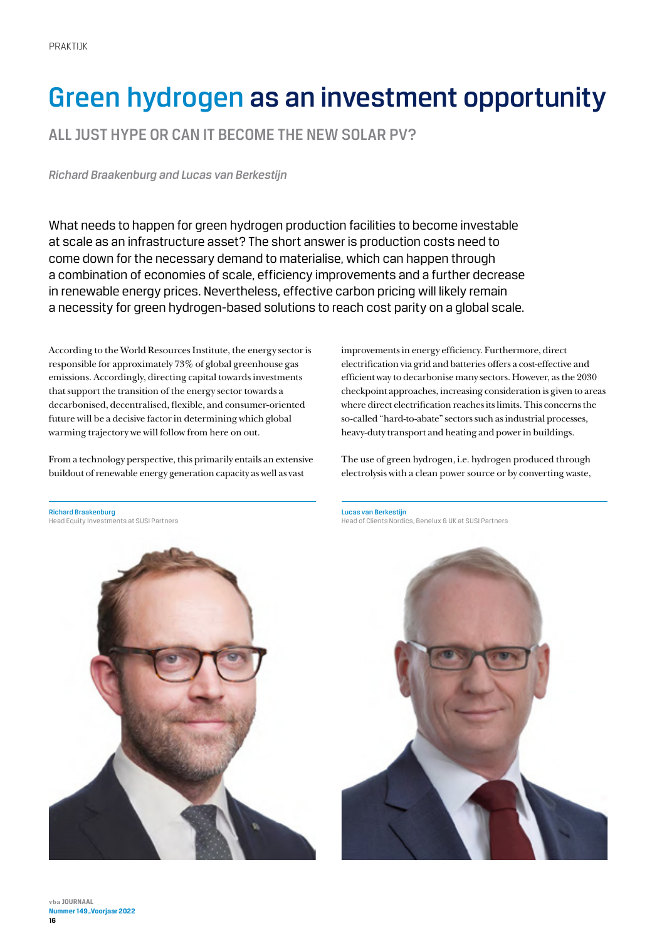# Green hydrogen as an investment opportunity

ALL JUST HYPE OR CAN IT BECOME THE NEW SOLAR PV?

*Richard Braakenburg and Lucas van Berkestijn*

What needs to happen for green hydrogen production facilities to become investable at scale as an infrastructure asset? The short answer is production costs need to come down for the necessary demand to materialise, which can happen through a combination of economies of scale, efficiency improvements and a further decrease in renewable energy prices. Nevertheless, effective carbon pricing will likely remain a necessity for green hydrogen-based solutions to reach cost parity on a global scale.

According to the World Resources Institute, the energy sector is responsible for approximately 73% of global greenhouse gas emissions. Accordingly, directing capital towards investments that support the transition of the energy sector towards a decarbonised, decentralised, flexible, and consumer-oriented future will be a decisive factor in determining which global warming trajectory we will follow from here on out.

From a technology perspective, this primarily entails an extensive buildout of renewable energy generation capacity as well as vast

improvements in energy efficiency. Furthermore, direct electrification via grid and batteries offers a cost-effective and efficient way to decarbonise many sectors. However, as the 2030 checkpoint approaches, increasing consideration is given to areas where direct electrification reaches its limits. This concerns the so-called "hard-to-abate" sectors such as industrial processes, heavy-duty transport and heating and power in buildings.

The use of green hydrogen, i.e. hydrogen produced through electrolysis with a clean power source or by converting waste,



Lucas van Berkestijn Head of Clients Nordics, Benelux & UK at SUSI Partners

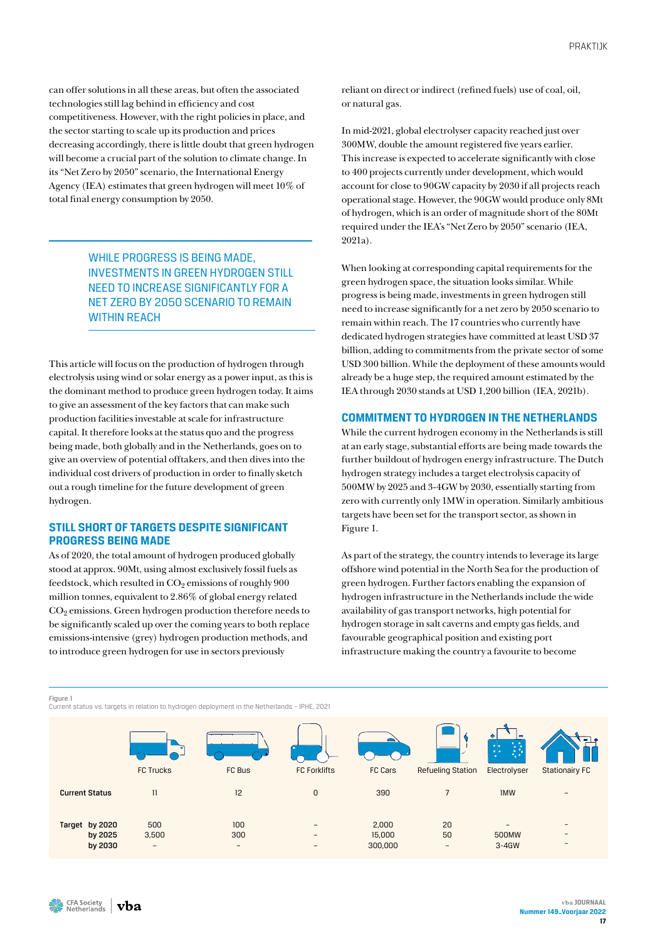can offer solutions in all these areas, but often the associated technologies still lag behind in efficiency and cost competitiveness. However, with the right policies in place, and the sector starting to scale up its production and prices decreasing accordingly, there is little doubt that green hydrogen will become a crucial part of the solution to climate change. In its "Net Zero by 2050" scenario, the International Energy Agency (IEA) estimates that green hydrogen will meet 10% of total final energy consumption by 2050.

> WHILE PROGRESS IS BEING MADE, INVESTMENTS IN GREEN HYDROGEN STILL NEED TO INCREASE SIGNIFICANTLY FOR A NET ZERO BY 2050 SCENARIO TO REMAIN WITHIN REACH

This article will focus on the production of hydrogen through electrolysis using wind or solar energy as a power input, as this is the dominant method to produce green hydrogen today. It aims to give an assessment of the key factors that can make such production facilities investable at scale for infrastructure capital. It therefore looks at the status quo and the progress being made, both globally and in the Netherlands, goes on to give an overview of potential offtakers, and then dives into the individual cost drivers of production in order to finally sketch out a rough timeline for the future development of green hydrogen.

# **STILL SHORT OF TARGETS DESPITE SIGNIFICANT PROGRESS BEING MADE**

As of 2020, the total amount of hydrogen produced globally stood at approx. 90Mt, using almost exclusively fossil fuels as feedstock, which resulted in  $CO_2$  emissions of roughly 900 million tonnes, equivalent to 2.86% of global energy related CO2 emissions. Green hydrogen production therefore needs to be significantly scaled up over the coming years to both replace emissions-intensive (grey) hydrogen production methods, and to introduce green hydrogen for use in sectors previously

reliant on direct or indirect (refined fuels) use of coal, oil, or natural gas.

In mid-2021, global electrolyser capacity reached just over 300MW, double the amount registered five years earlier. This increase is expected to accelerate significantly with close to 400 projects currently under development, which would account for close to 90GW capacity by 2030 if all projects reach operational stage. However, the 90GW would produce only 8Mt of hydrogen, which is an order of magnitude short of the 80Mt required under the IEA's "Net Zero by 2050" scenario (IEA, 2021a).

When looking at corresponding capital requirements for the green hydrogen space, the situation looks similar. While progress is being made, investments in green hydrogen still need to increase significantly for a net zero by 2050 scenario to remain within reach. The 17 countries who currently have dedicated hydrogen strategies have committed at least USD 37 billion, adding to commitments from the private sector of some USD 300 billion. While the deployment of these amounts would already be a huge step, the required amount estimated by the IEA through 2030 stands at USD 1,200 billion (IEA, 2021b).

# **COMMITMENT TO HYDROGEN IN THE NETHERLANDS**

While the current hydrogen economy in the Netherlands is still at an early stage, substantial efforts are being made towards the further buildout of hydrogen energy infrastructure. The Dutch hydrogen strategy includes a target electrolysis capacity of 500MW by 2025 and 3-4GW by 2030, essentially starting from zero with currently only 1MW in operation. Similarly ambitious targets have been set for the transport sector, as shown in Figure 1.

As part of the strategy, the country intends to leverage its large offshore wind potential in the North Sea for the production of green hydrogen. Further factors enabling the expansion of hydrogen infrastructure in the Netherlands include the wide availability of gas transport networks, high potential for hydrogen storage in salt caverns and empty gas fields, and favourable geographical position and existing port infrastructure making the country a favourite to become

Figure 1

Current status vs. targets in relation to hydrogen deployment in the Netherlands – IPHE, 2021

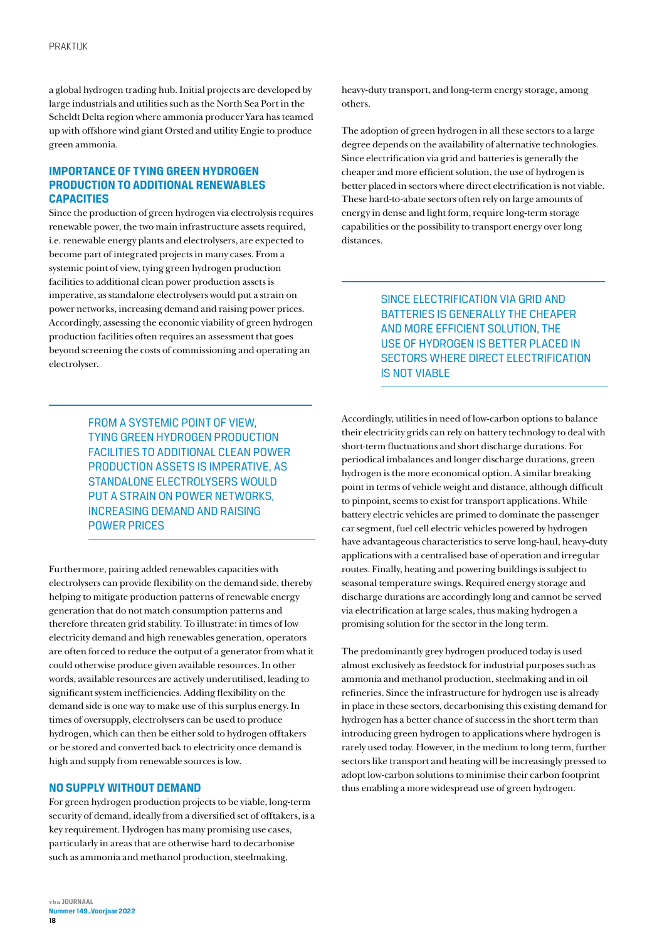a global hydrogen trading hub. Initial projects are developed by large industrials and utilities such as the North Sea Port in the Scheldt Delta region where ammonia producer Yara has teamed up with offshore wind giant Orsted and utility Engie to produce green ammonia.

# **IMPORTANCE OF TYING GREEN HYDROGEN PRODUCTION TO ADDITIONAL RENEWABLES CAPACITIES**

Since the production of green hydrogen via electrolysis requires renewable power, the two main infrastructure assets required, i.e. renewable energy plants and electrolysers, are expected to become part of integrated projects in many cases. From a systemic point of view, tying green hydrogen production facilities to additional clean power production assets is imperative, as standalone electrolysers would put a strain on power networks, increasing demand and raising power prices. Accordingly, assessing the economic viability of green hydrogen production facilities often requires an assessment that goes beyond screening the costs of commissioning and operating an electrolyser.

> FROM A SYSTEMIC POINT OF VIEW, TYING GREEN HYDROGEN PRODUCTION FACILITIES TO ADDITIONAL CLEAN POWER PRODUCTION ASSETS IS IMPERATIVE, AS STANDALONE ELECTROLYSERS WOULD PUT A STRAIN ON POWER NETWORKS, INCREASING DEMAND AND RAISING POWER PRICES

Furthermore, pairing added renewables capacities with electrolysers can provide flexibility on the demand side, thereby helping to mitigate production patterns of renewable energy generation that do not match consumption patterns and therefore threaten grid stability. To illustrate: in times of low electricity demand and high renewables generation, operators are often forced to reduce the output of a generator from what it could otherwise produce given available resources. In other words, available resources are actively underutilised, leading to significant system inefficiencies. Adding flexibility on the demand side is one way to make use of this surplus energy. In times of oversupply, electrolysers can be used to produce hydrogen, which can then be either sold to hydrogen offtakers or be stored and converted back to electricity once demand is high and supply from renewable sources is low.

# **NO SUPPLY WITHOUT DEMAND**

For green hydrogen production projects to be viable, long-term security of demand, ideally from a diversified set of offtakers, is a key requirement. Hydrogen has many promising use cases, particularly in areas that are otherwise hard to decarbonise such as ammonia and methanol production, steelmaking,

heavy-duty transport, and long-term energy storage, among others.

The adoption of green hydrogen in all these sectors to a large degree depends on the availability of alternative technologies. Since electrification via grid and batteries is generally the cheaper and more efficient solution, the use of hydrogen is better placed in sectors where direct electrification is not viable. These hard-to-abate sectors often rely on large amounts of energy in dense and light form, require long-term storage capabilities or the possibility to transport energy over long distances.

> SINCE ELECTRIFICATION VIA GRID AND BATTERIES IS GENERALLY THE CHEAPER AND MORE EFFICIENT SOLUTION, THE USE OF HYDROGEN IS BETTER PLACED IN SECTORS WHERE DIRECT ELECTRIFICATION IS NOT VIABLE

Accordingly, utilities in need of low-carbon options to balance their electricity grids can rely on battery technology to deal with short-term fluctuations and short discharge durations. For periodical imbalances and longer discharge durations, green hydrogen is the more economical option. A similar breaking point in terms of vehicle weight and distance, although difficult to pinpoint, seems to exist for transport applications. While battery electric vehicles are primed to dominate the passenger car segment, fuel cell electric vehicles powered by hydrogen have advantageous characteristics to serve long-haul, heavy-duty applications with a centralised base of operation and irregular routes. Finally, heating and powering buildings is subject to seasonal temperature swings. Required energy storage and discharge durations are accordingly long and cannot be served via electrification at large scales, thus making hydrogen a promising solution for the sector in the long term.

The predominantly grey hydrogen produced today is used almost exclusively as feedstock for industrial purposes such as ammonia and methanol production, steelmaking and in oil refineries. Since the infrastructure for hydrogen use is already in place in these sectors, decarbonising this existing demand for hydrogen has a better chance of success in the short term than introducing green hydrogen to applications where hydrogen is rarely used today. However, in the medium to long term, further sectors like transport and heating will be increasingly pressed to adopt low-carbon solutions to minimise their carbon footprint thus enabling a more widespread use of green hydrogen.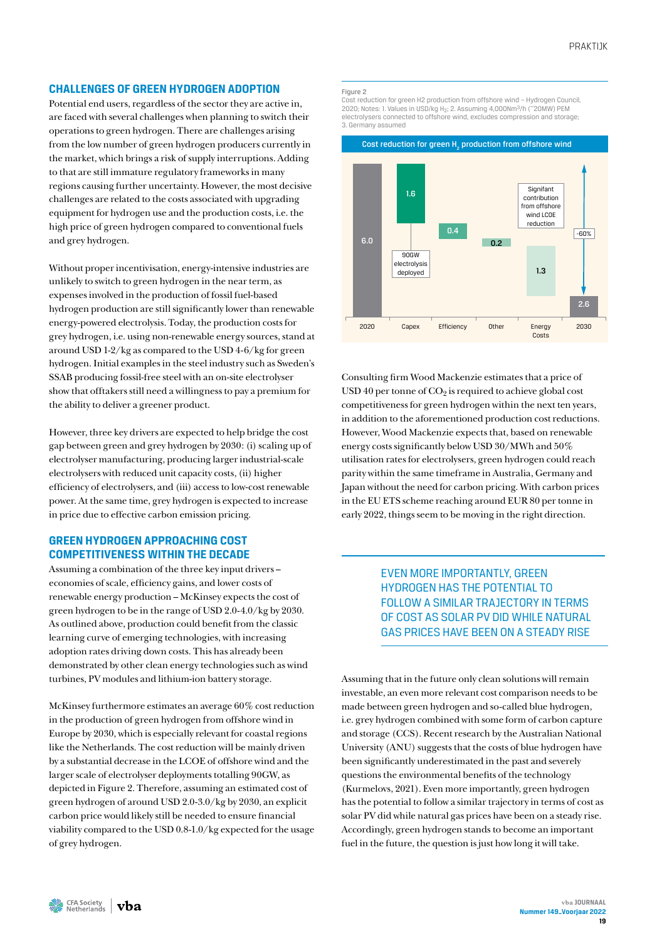## **CHALLENGES OF GREEN HYDROGEN ADOPTION**

Potential end users, regardless of the sector they are active in, are faced with several challenges when planning to switch their operations to green hydrogen. There are challenges arising from the low number of green hydrogen producers currently in the market, which brings a risk of supply interruptions. Adding to that are still immature regulatory frameworks in many regions causing further uncertainty. However, the most decisive challenges are related to the costs associated with upgrading equipment for hydrogen use and the production costs, i.e. the high price of green hydrogen compared to conventional fuels and grey hydrogen.

Without proper incentivisation, energy-intensive industries are unlikely to switch to green hydrogen in the near term, as expenses involved in the production of fossil fuel-based hydrogen production are still significantly lower than renewable energy-powered electrolysis. Today, the production costs for grey hydrogen, i.e. using non-renewable energy sources, stand at around USD 1-2/kg as compared to the USD 4-6/kg for green hydrogen. Initial examples in the steel industry such as Sweden's SSAB producing fossil-free steel with an on-site electrolyser show that offtakers still need a willingness to pay a premium for the ability to deliver a greener product.

However, three key drivers are expected to help bridge the cost gap between green and grey hydrogen by 2030: (i) scaling up of electrolyser manufacturing, producing larger industrial-scale electrolysers with reduced unit capacity costs, (ii) higher efficiency of electrolysers, and (iii) access to low-cost renewable power. At the same time, grey hydrogen is expected to increase in price due to effective carbon emission pricing.

# **GREEN HYDROGEN APPROACHING COST COMPETITIVENESS WITHIN THE DECADE**

Assuming a combination of the three key input drivers – economies of scale, efficiency gains, and lower costs of renewable energy production – McKinsey expects the cost of green hydrogen to be in the range of USD 2.0-4.0/kg by 2030. As outlined above, production could benefit from the classic learning curve of emerging technologies, with increasing adoption rates driving down costs. This has already been demonstrated by other clean energy technologies such as wind turbines, PV modules and lithium-ion battery storage.

McKinsey furthermore estimates an average 60% cost reduction in the production of green hydrogen from offshore wind in Europe by 2030, which is especially relevant for coastal regions like the Netherlands. The cost reduction will be mainly driven by a substantial decrease in the LCOE of offshore wind and the larger scale of electrolyser deployments totalling 90GW, as depicted in Figure 2. Therefore, assuming an estimated cost of green hydrogen of around USD 2.0-3.0/kg by 2030, an explicit carbon price would likely still be needed to ensure financial viability compared to the USD 0.8-1.0/kg expected for the usage of grey hydrogen.

#### Figure 2

Cost reduction for green H2 production from offshore wind – Hydrogen Council, 2020; Notes: 1. Values in USD/kg H2; 2. Assuming 4,000Nm3/h (~20MW) PEM electrolysers connected to offshore wind, excludes compression and storage; 3. Germany assumed



Consulting firm Wood Mackenzie estimates that a price of USD 40 per tonne of  $CO<sub>2</sub>$  is required to achieve global cost competitiveness for green hydrogen within the next ten years, in addition to the aforementioned production cost reductions. However, Wood Mackenzie expects that, based on renewable energy costs significantly below USD 30/MWh and 50% utilisation rates for electrolysers, green hydrogen could reach parity within the same timeframe in Australia, Germany and Japan without the need for carbon pricing. With carbon prices in the EU ETS scheme reaching around EUR 80 per tonne in early 2022, things seem to be moving in the right direction.

# EVEN MORE IMPORTANTLY, GREEN HYDROGEN HAS THE POTENTIAL TO FOLLOW A SIMILAR TRAJECTORY IN TERMS OF COST AS SOLAR PV DID WHILE NATURAL GAS PRICES HAVE BEEN ON A STEADY RISE

Assuming that in the future only clean solutions will remain investable, an even more relevant cost comparison needs to be made between green hydrogen and so-called blue hydrogen, i.e. grey hydrogen combined with some form of carbon capture and storage (CCS). Recent research by the Australian National University (ANU) suggests that the costs of blue hydrogen have been significantly underestimated in the past and severely questions the environmental benefits of the technology (Kurmelovs, 2021). Even more importantly, green hydrogen has the potential to follow a similar trajectory in terms of cost as solar PV did while natural gas prices have been on a steady rise. Accordingly, green hydrogen stands to become an important fuel in the future, the question is just how long it will take.